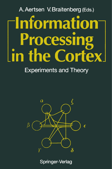## A. Aertsen V. Braitenberg (Eds.) Information Processing in the Cortex

## **Experiments and Theory**



**Springer-Verlag**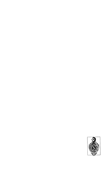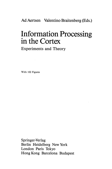Ad Aertsen Valentino Braitenberg (Eds.)

## **Information Processing in the Cortex**

Experiments and Theory

With 102 Figures

Springer-Verlag Berlin Heidelberg New York London Paris Tokyo Hong Kong Barcelona Budapest